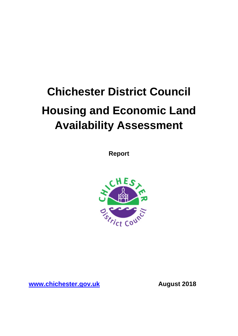# **Chichester District Council Housing and Economic Land Availability Assessment**

**Report**



**[www.chichester.gov.uk](http://www.chichester.gov.uk/) August 2018**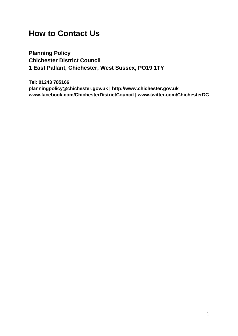# **How to Contact Us**

**Planning Policy Chichester District Council 1 East Pallant, Chichester, West Sussex, PO19 1TY**

**Tel: 01243 785166 planningpolicy@chichester.gov.uk | http://www.chichester.gov.uk www.facebook.com/ChichesterDistrictCouncil | www.twitter.com/ChichesterDC**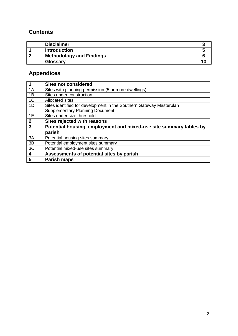## **Contents**

| <b>Disclaimer</b>               |  |
|---------------------------------|--|
| <b>Introduction</b>             |  |
| <b>Methodology and Findings</b> |  |
| Glossary                        |  |

# **Appendices**

| $\overline{1}$            | <b>Sites not considered</b>                                         |
|---------------------------|---------------------------------------------------------------------|
| 1A                        | Sites with planning permission (5 or more dwellings)                |
| 1B                        | Sites under construction                                            |
| 1 <sup>C</sup>            | Allocated sites                                                     |
| 1D                        | Sites identified for development in the Southern Gateway Masterplan |
|                           | <b>Supplementary Planning Document</b>                              |
| 1E                        | Sites under size threshold                                          |
| $\overline{2}$            | <b>Sites rejected with reasons</b>                                  |
| $\overline{\overline{3}}$ | Potential housing, employment and mixed-use site summary tables by  |
|                           | parish                                                              |
| 3A                        | Potential housing sites summary                                     |
| 3B                        | Potential employment sites summary                                  |
| 3C                        | Potential mixed-use sites summary                                   |
| $\overline{\mathbf{4}}$   | Assessments of potential sites by parish                            |
| 5                         | <b>Parish maps</b>                                                  |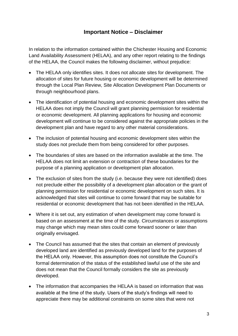## **Important Notice – Disclaimer**

In relation to the information contained within the Chichester Housing and Economic Land Availability Assessment (HELAA), and any other report relating to the findings of the HELAA, the Council makes the following disclaimer, without prejudice:

- The HELAA only identifies sites. It does not allocate sites for development. The allocation of sites for future housing or economic development will be determined through the Local Plan Review, Site Allocation Development Plan Documents or through neighbourhood plans.
- The identification of potential housing and economic development sites within the HELAA does not imply the Council will grant planning permission for residential or economic development. All planning applications for housing and economic development will continue to be considered against the appropriate policies in the development plan and have regard to any other material considerations.
- The inclusion of potential housing and economic development sites within the study does not preclude them from being considered for other purposes.
- The boundaries of sites are based on the information available at the time. The HELAA does not limit an extension or contraction of these boundaries for the purpose of a planning application or development plan allocation.
- The exclusion of sites from the study (i.e. because they were not identified) does not preclude either the possibility of a development plan allocation or the grant of planning permission for residential or economic development on such sites. It is acknowledged that sites will continue to come forward that may be suitable for residential or economic development that has not been identified in the HELAA.
- Where it is set out, any estimation of when development may come forward is based on an assessment at the time of the study. Circumstances or assumptions may change which may mean sites could come forward sooner or later than originally envisaged.
- The Council has assumed that the sites that contain an element of previously developed land are identified as previously developed land for the purposes of the HELAA only. However, this assumption does not constitute the Council's formal determination of the status of the established lawful use of the site and does not mean that the Council formally considers the site as previously developed.
- The information that accompanies the HELAA is based on information that was available at the time of the study. Users of the study's findings will need to appreciate there may be additional constraints on some sites that were not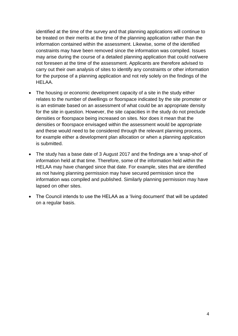identified at the time of the survey and that planning applications will continue to be treated on their merits at the time of the planning application rather than the information contained within the assessment. Likewise, some of the identified constraints may have been removed since the information was compiled. Issues may arise during the course of a detailed planning application that could not/were not foreseen at the time of the assessment. Applicants are therefore advised to carry out their own analysis of sites to identify any constraints or other information for the purpose of a planning application and not rely solely on the findings of the HELAA.

- The housing or economic development capacity of a site in the study either relates to the number of dwellings or floorspace indicated by the site promoter or is an estimate based on an assessment of what could be an appropriate density for the site in question. However, the site capacities in the study do not preclude densities or floorspace being increased on sites. Nor does it mean that the densities or floorspace envisaged within the assessment would be appropriate and these would need to be considered through the relevant planning process, for example either a development plan allocation or when a planning application is submitted.
- The study has a base date of 3 August 2017 and the findings are a 'snap-shot' of information held at that time. Therefore, some of the information held within the HELAA may have changed since that date. For example, sites that are identified as not having planning permission may have secured permission since the information was compiled and published. Similarly planning permission may have lapsed on other sites.
- The Council intends to use the HELAA as a 'living document' that will be updated on a regular basis.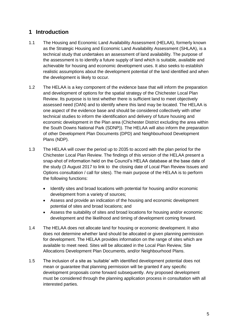# **1 Introduction**

- 1.1 The Housing and Economic Land Availability Assessment (HELAA), formerly known as the Strategic Housing and Economic Land Availability Assessment (SHLAA), is a technical study that undertakes an assessment of land availability. The purpose of the assessment is to identify a future supply of land which is suitable, available and achievable for housing and economic development uses. It also seeks to establish realistic assumptions about the development potential of the land identified and when the development is likely to occur.
- 1.2 The HELAA is a key component of the evidence base that will inform the preparation and development of options for the spatial strategy of the Chichester Local Plan Review. Its purpose is to test whether there is sufficient land to meet objectively assessed need (OAN) and to identify where this land may be located. The HELAA is one aspect of the evidence base and should be considered collectively with other technical studies to inform the identification and delivery of future housing and economic development in the Plan area (Chichester District excluding the area within the South Downs National Park (SDNP)). The HELAA will also inform the preparation of other Development Plan Documents (DPD) and Neighbourhood Development Plans (NDP).
- 1.3 The HELAA will cover the period up to 2035 to accord with the plan period for the Chichester Local Plan Review. The findings of this version of the HELAA present a snap-shot of information held on the Council's HELAA database at the base date of the study (3 August 2017 to link to the closing date of Local Plan Review Issues and Options consultation / call for sites). The main purpose of the HELAA is to perform the following functions:
	- Identify sites and broad locations with potential for housing and/or economic development from a variety of sources;
	- Assess and provide an indication of the housing and economic development potential of sites and broad locations; and
	- Assess the suitability of sites and broad locations for housing and/or economic development and the likelihood and timing of development coming forward.
- 1.4 The HELAA does not allocate land for housing or economic development. It also does not determine whether land should be allocated or given planning permission for development. The HELAA provides information on the range of sites which are available to meet need. Sites will be allocated in the Local Plan Review, Site Allocations Development Plan Documents, and/or Neighbourhood Plans.
- 1.5 The inclusion of a site as 'suitable' with identified development potential does not mean or guarantee that planning permission will be granted if any specific development proposals come forward subsequently. Any proposed development must be considered through the planning application process in consultation with all interested parties.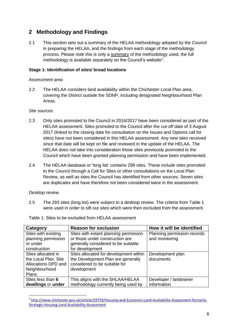## **2 Methodology and Findings**

2.1 This section sets out a summary of the HELAA methodology adopted by the Council in preparing the HELAA, and the findings from each stage of the methodology process. Please note this is only a summary of the methodology used, the full methodology is available separately on the Council's website $1$ .

#### **Stage 1: Identification of sites/ broad locations**

#### *Assessment area*

2.2 The HELAA considers land availability within the Chichester Local Plan area, covering the District outside the SDNP, including designated Neighbourhood Plan Areas.

#### *Site sources*

- 2.3 Only sites promoted to the Council in 2016/2017 have been considered as part of the HELAA assessment. Sites promoted to the Council after the cut-off date of 3 August 2017 (linked to the closing date for consultation on the Issues and Options call for sites) have not been considered in this HELAA assessment. Any new sites received since that date will be kept on file and reviewed in the update of the HELAA. The HELAA does not take into consideration those sites previously promoted to the Council which have been granted planning permission and have been implemented.
- 2.4 The HELAA database or 'long list' contains 299 sites. These include sites promoted to the Council through a Call for Sites or other consultations on the Local Plan Review, as well as sites the Council has identified from other sources. Seven sites are duplicates and have therefore not been considered twice in the assessment.

#### *Desktop review*

2.5 The 293 sites (long list) were subject to a desktop review. The criteria from Table 1 were used in order to sift out sites which were then excluded from the assessment.

| Category             | <b>Reason for exclusion</b>            | How it will be identified   |
|----------------------|----------------------------------------|-----------------------------|
| Sites with existing  | Sites with extant planning permission  | Planning permission records |
| planning permission  | or those under construction are        | and monitoring              |
| or under             | generally considered to be suitable    |                             |
| construction         | for development                        |                             |
| Sites allocated in   | Sites allocated for development within | Development plan            |
| the Local Plan, Site | the Development Plan are generally     | documents                   |
| Allocations DPD and  | considered to be suitable for          |                             |
| Neighbourhood        | development                            |                             |
| Plans                |                                        |                             |
| Sites less than 6    | This aligns with the SHLAA/HELAA       | Developer / landowner       |
| dwellings or under   | methodology currently being used by    | information.                |

Table 1: Sites to be excluded from HELAA assessment

 1 [http://www.chichester.gov.uk/article/29759/Housing-and-Economic-Land-Availability-Assessment-formerly-](http://www.chichester.gov.uk/article/29759/Housing-and-Economic-Land-Availability-Assessment-formerly-Strategic-Housing-Land-Availability-Assessment)[Strategic-Housing-Land-Availability-Assessment](http://www.chichester.gov.uk/article/29759/Housing-and-Economic-Land-Availability-Assessment-formerly-Strategic-Housing-Land-Availability-Assessment)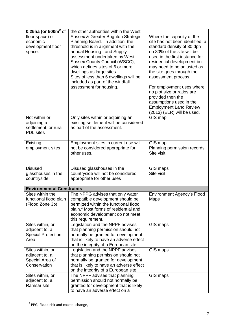| 0.25ha (or 500 $m^2$ of<br>floor space) of<br>economic<br>development floor<br>space. | the other authorities within the West<br><b>Sussex &amp; Greater Brighton Strategic</b><br>Planning Board. In addition, the<br>threshold is in alignment with the<br>annual Housing Land Supply<br>assessment undertaken by West<br>Sussex County Council (WSCC),<br>which defines sites of 6 or more<br>dwellings as large sites.<br>Sites of less than 6 dwellings will be<br>included as part of the windfall<br>assessment for housing. | Where the capacity of the<br>site has not been identified, a<br>standard density of 30 dph<br>on 80% of the site will be<br>used in the first instance for<br>residential development but<br>may need to be adjusted as<br>the site goes through the<br>assessment process.<br>For employment uses where<br>no plot size or ratios are<br>provided then the<br>assumptions used in the<br><b>Employment Land Review</b><br>(2013) (ELR) will be used. |
|---------------------------------------------------------------------------------------|---------------------------------------------------------------------------------------------------------------------------------------------------------------------------------------------------------------------------------------------------------------------------------------------------------------------------------------------------------------------------------------------------------------------------------------------|-------------------------------------------------------------------------------------------------------------------------------------------------------------------------------------------------------------------------------------------------------------------------------------------------------------------------------------------------------------------------------------------------------------------------------------------------------|
| Not within or<br>adjoining a<br>settlement, or rural<br><b>PDL</b> sites              | Only sites within or adjoining an<br>existing settlement will be considered<br>as part of the assessment.                                                                                                                                                                                                                                                                                                                                   | GIS map                                                                                                                                                                                                                                                                                                                                                                                                                                               |
| Existing<br>employment sites                                                          | Employment sites in current use will<br>not be considered appropriate for<br>other uses.                                                                                                                                                                                                                                                                                                                                                    | GIS map<br>Planning permission records<br>Site visit                                                                                                                                                                                                                                                                                                                                                                                                  |
| <b>Disused</b><br>glasshouses in the<br>countryside                                   | Disused glasshouses in the<br>countryside will not be considered<br>appropriate for other uses                                                                                                                                                                                                                                                                                                                                              | GIS maps<br>Site visit                                                                                                                                                                                                                                                                                                                                                                                                                                |
| <b>Environmental Constraints</b>                                                      |                                                                                                                                                                                                                                                                                                                                                                                                                                             |                                                                                                                                                                                                                                                                                                                                                                                                                                                       |
| Sites within the<br>functional flood plain<br>(Flood Zone 3b)                         | The NPPG advises that only water<br>compatible development should be<br>permitted within the functional flood<br>plain. <sup>2</sup> Most forms of residential and<br>economic development do not meet<br>this requirement.                                                                                                                                                                                                                 | <b>Environment Agency's Flood</b><br>Maps                                                                                                                                                                                                                                                                                                                                                                                                             |
| Sites within, or<br>adjacent to, a<br><b>Special Protection</b><br>Area               | Legislation and the NPPF advises<br>that planning permission should not<br>normally be granted for development<br>that is likely to have an adverse effect<br>on the integrity of a European site.                                                                                                                                                                                                                                          | GIS maps                                                                                                                                                                                                                                                                                                                                                                                                                                              |
| Sites within, or<br>adjacent to, a<br>Special Area of<br>Conservation                 | Legislation and the NPPF advises<br>that planning permission should not<br>normally be granted for development<br>that is likely to have an adverse effect<br>on the integrity of a European site.                                                                                                                                                                                                                                          | GIS maps                                                                                                                                                                                                                                                                                                                                                                                                                                              |
| Sites within, or<br>adjacent to, a<br>Ramsar site                                     | The NPPF advises that planning<br>permission should not normally be<br>granted for development that is likely<br>to have an adverse effect on a                                                                                                                                                                                                                                                                                             | GIS maps                                                                                                                                                                                                                                                                                                                                                                                                                                              |

**THEFFE**<br>The Sepand risk and coastal change,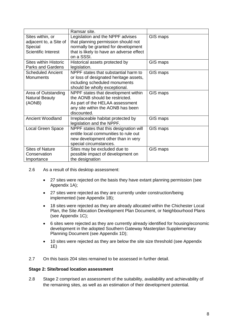|                                                                                     | Ramsar site.                                                                                                                                                             |          |
|-------------------------------------------------------------------------------------|--------------------------------------------------------------------------------------------------------------------------------------------------------------------------|----------|
| Sites within, or<br>adjacent to, a Site of<br>Special<br><b>Scientific Interest</b> | Legislation and the NPPF advises<br>that planning permission should not<br>normally be granted for development<br>that is likely to have an adverse effect<br>on a SSSI. | GIS maps |
| <b>Sites within Historic</b><br><b>Parks and Gardens</b>                            | Historical assets protected by<br>legislation.                                                                                                                           | GIS maps |
| <b>Scheduled Ancient</b><br><b>Monuments</b>                                        | NPPF states that substantial harm to<br>or loss of designated heritage assets,<br>including scheduled monuments<br>should be wholly exceptional.                         | GIS maps |
| Area of Outstanding<br><b>Natural Beauty</b><br>(AONB)                              | NPPF states that development within<br>the AONB should be restricted.<br>As part of the HELAA assessment<br>any site within the AONB has been<br>discounted.             | GIS maps |
| <b>Ancient Woodland</b>                                                             | Irreplaceable habitat protected by<br>legislation and the NPPF.                                                                                                          | GIS maps |
| Local Green Space                                                                   | NPPF states that this designation will<br>entitle local communities to rule out<br>new development other than in very<br>special circumstances.                          | GIS maps |
| <b>Sites of Nature</b><br>Conservation<br>Importance                                | Sites may be excluded due to<br>possible impact of development on<br>the designation                                                                                     | GIS maps |

- 2.6 As a result of this desktop assessment:
	- 27 sites were rejected on the basis they have extant planning permission (see Appendix 1A);
	- 27 sites were rejected as they are currently under construction/being implemented (see Appendix 1B);
	- 18 sites were rejected as they are already allocated within the Chichester Local Plan, the Site Allocation Development Plan Document, or Neighbourhood Plans (see Appendix 1C);
	- 6 sites were rejected as they are currently already identified for housing/economic development in the adopted Southern Gateway Masterplan Supplementary Planning Document (see Appendix 1D);
	- 10 sites were rejected as they are below the site size threshold (see Appendix 1E)
- 2.7 On this basis 204 sites remained to be assessed in further detail.

#### **Stage 2: Site/broad location assessment**

2.8 Stage 2 comprised an assessment of the suitability, availability and achievability of the remaining sites, as well as an estimation of their development potential.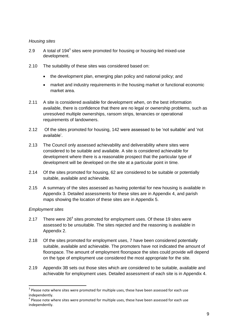#### *Housing sites*

- 2.9 A total of  $194<sup>3</sup>$  sites were promoted for housing or housing-led mixed-use development.
- 2.10 The suitability of these sites was considered based on:
	- the development plan, emerging plan policy and national policy; and
	- market and industry requirements in the housing market or functional economic market area.
- 2.11 A site is considered available for development when, on the best information available, there is confidence that there are no legal or ownership problems, such as unresolved multiple ownerships, ransom strips, tenancies or operational requirements of landowners.
- 2.12 Of the sites promoted for housing, 142 were assessed to be 'not suitable' and 'not available'.
- 2.13 The Council only assessed achievability and deliverability where sites were considered to be suitable and available. A site is considered achievable for development where there is a reasonable prospect that the particular type of development will be developed on the site at a particular point in time.
- 2.14 Of the sites promoted for housing, 62 are considered to be suitable or potentially suitable, available and achievable.
- 2.15 A summary of the sites assessed as having potential for new housing is available in Appendix 3. Detailed assessments for these sites are in Appendix 4, and parish maps showing the location of these sites are in Appendix 5.

#### *Employment sites*

**.** 

- 2.17 There were  $26<sup>4</sup>$  sites promoted for employment uses. Of these 19 sites were assessed to be unsuitable. The sites rejected and the reasoning is available in Appendix 2.
- 2.18 Of the sites promoted for employment uses, 7 have been considered potentially suitable, available and achievable. The promoters have not indicated the amount of floorspace. The amount of employment floorspace the sites could provide will depend on the type of employment use considered the most appropriate for the site.
- 2.19 Appendix 3B sets out those sites which are considered to be suitable, available and achievable for employment uses. Detailed assessment of each site is in Appendix 4.

 $3$  Please note where sites were promoted for multiple uses, these have been assessed for each use independently.

<sup>&</sup>lt;sup>4</sup> Please note where sites were promoted for multiple uses, these have been assessed for each use independently.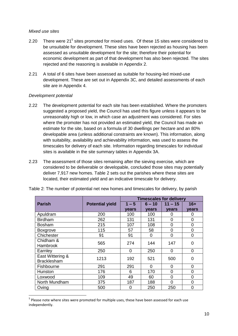#### *Mixed use sites*

- 2.20 There were 21<sup>5</sup> sites promoted for mixed uses. Of these 15 sites were considered to be unsuitable for development. These sites have been rejected as housing has been assessed as unsuitable development for the site; therefore their potential for economic development as part of that development has also been rejected. The sites rejected and the reasoning is available in Appendix 2.
- 2.21 A total of 6 sites have been assessed as suitable for housing-led mixed-use development. These are set out in Appendix 3C, and detailed assessments of each site are in Appendix 4.

#### *Development potential*

**.** 

- 2.22 The development potential for each site has been established. Where the promoters suggested a proposed yield, the Council has used this figure unless it appears to be unreasonably high or low, in which case an adjustment was considered. For sites where the promoter has not provided an estimated yield, the Council has made an estimate for the site, based on a formula of 30 dwellings per hectare and an 80% developable area (unless additional constraints are known). This information, along with suitability, availability and achievability information, was used to assess the timescales for delivery of each site. Information regarding timescales for individual sites is available in the site summary tables in Appendix 3A.
- 2.23 The assessment of those sites remaining after the sieving exercise, which are considered to be deliverable or developable, concluded those sites may potentially deliver 7,917 new homes. Table 2 sets out the parishes where these sites are located, their estimated yield and an indicative timescale for delivery.

|                    |                        |         |          | <b>Timescales for delivery</b> |                |
|--------------------|------------------------|---------|----------|--------------------------------|----------------|
| <b>Parish</b>      | <b>Potential yield</b> | $1 - 5$ | 6 – 10   | $11 - 15$                      | $16+$          |
|                    |                        | vears   | vears    | vears                          | vears          |
| Apuldram           | 200                    | 100     | 100      | 0                              | 0              |
| <b>Birdham</b>     | 262                    | 131     | 131      | 0                              | 0              |
| <b>Bosham</b>      | 215                    | 107     | 108      | 0                              | $\overline{0}$ |
| <b>Boxgrove</b>    | 115                    | 57      | 58       | 0                              | 0              |
| Chichester         | 91                     | 91      | 0        | 0                              | 0              |
| Chidham &          | 565                    | 274     | 144      | 147                            | 0              |
| <b>Hambrook</b>    |                        |         |          |                                |                |
| Earnley            | 250                    | 0       | 250      | 0                              | 0              |
| East Wittering &   | 1213                   | 192     | 521      | 500                            | 0              |
| <b>Bracklesham</b> |                        |         |          |                                |                |
| Fishbourne         | 291                    | 291     | $\Omega$ | 0                              | 0              |
| Hunston            | 176                    | 6       | 170      | 0                              | $\mathbf 0$    |
| Loxwood            | 109                    | 49      | 60       | 0                              | $\overline{0}$ |
| North Mundham      | 375                    | 187     | 188      | 0                              | $\overline{0}$ |
| Oving              | 500                    | 0       | 250      | 250                            | 0              |

| Table 2: The number of potential net new homes and timescales for delivery, by parish |  |  |  |  |  |
|---------------------------------------------------------------------------------------|--|--|--|--|--|
|---------------------------------------------------------------------------------------|--|--|--|--|--|

<sup>&</sup>lt;sup>5</sup> Please note where sites were promoted for multiple uses, these have been assessed for each use independently.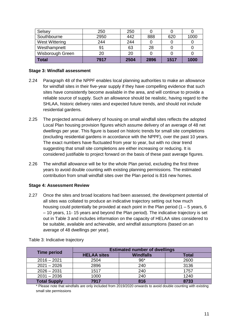| Selsey                 | 250  | 250  |      |      |      |
|------------------------|------|------|------|------|------|
| Southbourne            | 2950 | 442  | 888  | 620  | 1000 |
| West Wittering         | 244  | 244  |      |      |      |
| Westhampnett           | 91   | 63   | 28   |      |      |
| Wisborough Green<br>20 |      | 20   |      |      |      |
| Total                  | 7917 | 2504 | 2896 | 1517 | 1000 |

#### **Stage 3: Windfall assessment**

- 2.24 Paragraph 48 of the NPPF enables local planning authorities to make an allowance for windfall sites in their five-year supply if they have compelling evidence that such sites have consistently become available in the area, and will continue to provide a reliable source of supply. Such an allowance should be realistic, having regard to the SHLAA, historic delivery rates and expected future trends, and should not include residential gardens.
- 2.25 The projected annual delivery of housing on small windfall sites reflects the adopted Local Plan housing provision figures which assume delivery of an average of 48 net dwellings per year. This figure is based on historic trends for small site completions (excluding residential gardens in accordance with the NPPF), over the past 10 years. The exact numbers have fluctuated from year to year, but with no clear trend suggesting that small site completions are either increasing or reducing. It is considered justifiable to project forward on the basis of these past average figures.
- 2.26 The windfall allowance will be for the whole Plan period, excluding the first three years to avoid double counting with existing planning permissions. The estimated contribution from small windfall sites over the Plan period is 816 new homes.

#### **Stage 4: Assessment Review**

2.27 Once the sites and broad locations had been assessed, the development potential of all sites was collated to produce an indicative trajectory setting out how much housing could potentially be provided at each point in the Plan period  $(1 - 5$  years, 6 – 10 years, 11- 15 years and beyond the Plan period). The indicative trajectory is set out in Table 3 and includes information on the capacity of HELAA sites considered to be suitable, available and achievable, and windfall assumptions (based on an average of 48 dwellings per year).

| <b>Time period</b>    | <b>Estimated number of dwellings</b> |                  |              |  |
|-----------------------|--------------------------------------|------------------|--------------|--|
|                       | <b>HELAA sites</b>                   | <b>Windfalls</b> | <b>Total</b> |  |
| $2016 - 2021$         | 2504                                 | $96*$            | 2600         |  |
| $2021 - 2026$         | 2896                                 | 240              | 3136         |  |
| $2026 - 2031$         | 1517                                 | 240              | 1757         |  |
| $2031 - 2036$<br>1000 |                                      | 240              | 1240         |  |
| <b>Total Supply</b>   | 7917                                 | 816              | 8733         |  |

Table 3: Indicative trajectory

\* Please note that windfalls are only included from 2019/2020 onwards to avoid double counting with existing small site permissions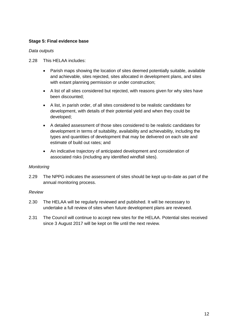#### **Stage 5: Final evidence base**

#### *Data outputs*

- 2.28 This HELAA includes:
	- Parish maps showing the location of sites deemed potentially suitable, available and achievable, sites rejected, sites allocated in development plans, and sites with extant planning permission or under construction;
	- A list of all sites considered but rejected, with reasons given for why sites have been discounted;
	- A list, in parish order, of all sites considered to be realistic candidates for development, with details of their potential yield and when they could be developed;
	- A detailed assessment of those sites considered to be realistic candidates for development in terms of suitability, availability and achievability, including the types and quantities of development that may be delivered on each site and estimate of build out rates; and
	- An indicative trajectory of anticipated development and consideration of associated risks (including any identified windfall sites).

#### *Monitoring*

2.29 The NPPG indicates the assessment of sites should be kept up-to-date as part of the annual monitoring process.

#### *Review*

- 2.30 The HELAA will be regularly reviewed and published. It will be necessary to undertake a full review of sites when future development plans are reviewed.
- 2.31 The Council will continue to accept new sites for the HELAA. Potential sites received since 3 August 2017 will be kept on file until the next review.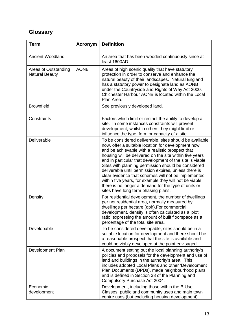# **Glossary**

| <b>Term</b>                                   | <b>Acronym</b> | <b>Definition</b>                                                                                                                                                                                                                                                                                                                                                                                                                                                                                                                                                                                                           |
|-----------------------------------------------|----------------|-----------------------------------------------------------------------------------------------------------------------------------------------------------------------------------------------------------------------------------------------------------------------------------------------------------------------------------------------------------------------------------------------------------------------------------------------------------------------------------------------------------------------------------------------------------------------------------------------------------------------------|
| <b>Ancient Woodland</b>                       |                | An area that has been wooded continuously since at<br>least 1600AD.                                                                                                                                                                                                                                                                                                                                                                                                                                                                                                                                                         |
| Areas of Outstanding<br><b>Natural Beauty</b> | <b>AONB</b>    | Areas of high scenic quality that have statutory<br>protection in order to conserve and enhance the<br>natural beauty of their landscapes. Natural England<br>has a statutory power to designate land as AONB<br>under the Countryside and Rights of Way Act 2000.<br>Chichester Harbour AONB is located within the Local<br>Plan Area.                                                                                                                                                                                                                                                                                     |
| <b>Brownfield</b>                             |                | See previously developed land.                                                                                                                                                                                                                                                                                                                                                                                                                                                                                                                                                                                              |
| Constraints                                   |                | Factors which limit or restrict the ability to develop a<br>site. In some instances constraints will prevent<br>development, whilst in others they might limit or<br>influence the type, form or capacity of a site.                                                                                                                                                                                                                                                                                                                                                                                                        |
| Deliverable                                   |                | To be considered deliverable, sites should be available<br>now, offer a suitable location for development now,<br>and be achievable with a realistic prospect that<br>housing will be delivered on the site within five years<br>and in particular that development of the site is viable.<br>Sites with planning permission should be considered<br>deliverable until permission expires, unless there is<br>clear evidence that schemes will not be implemented<br>within five years, for example they will not be viable,<br>there is no longer a demand for the type of units or<br>sites have long term phasing plans. |
| Density                                       |                | For residential development, the number of dwellings<br>per net residential area, normally measured by<br>dwellings per hectare (dph). For commercial<br>development, density is often calculated as a 'plot<br>ratio' expressing the amount of built floorspace as a<br>percentage of the total site area.                                                                                                                                                                                                                                                                                                                 |
| Developable                                   |                | To be considered developable, sites should be in a<br>suitable location for development and there should be<br>a reasonable prospect that the site is available and<br>could be viably developed at the point envisaged.                                                                                                                                                                                                                                                                                                                                                                                                    |
| Development Plan                              |                | A document setting out the local planning authority's<br>policies and proposals for the development and use of<br>land and buildings in the authority's area. This<br>includes adopted Local Plans and other 'Development<br>Plan Documents (DPDs), made neighbourhood plans,<br>and is defined in Section 38 of the Planning and<br>Compulsory Purchase Act 2004.                                                                                                                                                                                                                                                          |
| Economic<br>development                       |                | Development, including those within the B Use<br>Classes, public and community uses and main town<br>centre uses (but excluding housing development).                                                                                                                                                                                                                                                                                                                                                                                                                                                                       |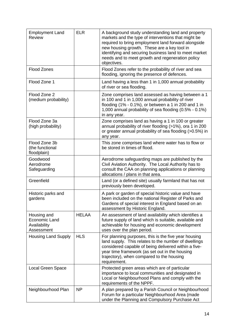| <b>Employment Land</b><br><b>Review</b>                           | <b>ELR</b>   | A background study understanding land and property<br>markets and the type of interventions that might be<br>required to bring employment land forward alongside<br>new housing growth. These are a key tool in<br>identifying and securing business land to meet market<br>needs and to meet growth and regeneration policy<br>objectives. |
|-------------------------------------------------------------------|--------------|---------------------------------------------------------------------------------------------------------------------------------------------------------------------------------------------------------------------------------------------------------------------------------------------------------------------------------------------|
| <b>Flood Zones</b>                                                |              | Flood Zones refer to the probability of river and sea<br>flooding, ignoring the presence of defences.                                                                                                                                                                                                                                       |
| Flood Zone 1                                                      |              | Land having a less than 1 in 1,000 annual probability<br>of river or sea flooding.                                                                                                                                                                                                                                                          |
| Flood Zone 2<br>(medium probability)                              |              | Zone comprises land assessed as having between a 1<br>in 100 and 1 in 1,000 annual probability of river<br>flooding $(1\% - 0.1\%)$ , or between a 1 in 200 and 1 in<br>1,000 annual probability of sea flooding (0.5% - 0.1%)<br>in any year.                                                                                              |
| Flood Zone 3a<br>(high probability)                               |              | Zone comprises land as having a 1 in 100 or greater<br>annual probability of river flooding (>1%), ora 1 in 200<br>or greater annual probability of sea flooding (>0.5%) in<br>any year.                                                                                                                                                    |
| Flood Zone 3b<br>(the functional<br>floodplain)                   |              | This zone comprises land where water has to flow or<br>be stored in times of flood.                                                                                                                                                                                                                                                         |
| Goodwood<br>Aerodrome<br>Safeguarding                             |              | Aerodrome safeguarding maps are published by the<br>Civil Aviation Authority. The Local Authority has to<br>consult the CAA on planning applications or planning<br>allocations / plans in that area.                                                                                                                                       |
| Greenfield                                                        |              | Land (or a defined site) usually farmland that has not<br>previously been developed.                                                                                                                                                                                                                                                        |
| Historic parks and<br>gardens                                     |              | A park or garden of special historic value and have<br>been included on the national Register of Parks and<br>Gardens of special interest in England based on an<br>assessment by Historic England.                                                                                                                                         |
| Housing and<br><b>Economic Land</b><br>Availability<br>Assessment | <b>HELAA</b> | An assessment of land availability which identifies a<br>future supply of land which is suitable, available and<br>achievable for housing and economic development<br>uses over the plan period.                                                                                                                                            |
| <b>Housing Land Supply</b>                                        | <b>HLS</b>   | For planning purposes, this is the five year housing<br>land supply. This relates to the number of dwellings<br>considered capable of being delivered within a five-<br>year time framework (as set out in the housing<br>trajectory), when compared to the housing<br>requirement.                                                         |
| Local Green Space                                                 |              | Protected green areas which are of particular<br>importance to local communities and designated in<br>Local or Neighbourhood Plans and comply with the<br>requirements of the NPPF.                                                                                                                                                         |
| Neighbourhood Plan                                                | <b>NP</b>    | A plan prepared by a Parish Council or Neighbourhood<br>Forum for a particular Neighbourhood Area (made<br>under the Planning and Compulsory Purchase Act                                                                                                                                                                                   |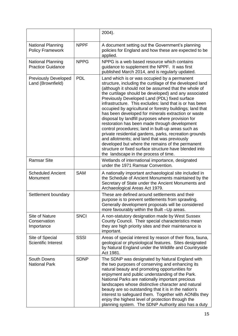|                                                      |             | 2004).                                                                                                                                                                                                                                                                                                                                                                                                                                                                                                                                                                                                                                                                                                                                                                                                                                                                                 |
|------------------------------------------------------|-------------|----------------------------------------------------------------------------------------------------------------------------------------------------------------------------------------------------------------------------------------------------------------------------------------------------------------------------------------------------------------------------------------------------------------------------------------------------------------------------------------------------------------------------------------------------------------------------------------------------------------------------------------------------------------------------------------------------------------------------------------------------------------------------------------------------------------------------------------------------------------------------------------|
| <b>National Planning</b><br><b>Policy Framework</b>  | <b>NPPF</b> | A document setting out the Government's planning<br>policies for England and how these are expected to be<br>applied.                                                                                                                                                                                                                                                                                                                                                                                                                                                                                                                                                                                                                                                                                                                                                                  |
| <b>National Planning</b><br><b>Practice Guidance</b> | <b>NPPG</b> | NPPG is a web based resource which contains<br>guidance to supplement the NPPF. It was first<br>published March 2014, and is regularly updated.                                                                                                                                                                                                                                                                                                                                                                                                                                                                                                                                                                                                                                                                                                                                        |
| <b>Previously Developed</b><br>Land (Brownfield)     | <b>PDL</b>  | Land which is or was occupied by a permanent<br>structure, including the curtilage of the developed land<br>(although it should not be assumed that the whole of<br>the curtilage should be developed) and any associated<br>Previously Developed Land (PDL) fixed surface<br>infrastructure. This excludes: land that is or has been<br>occupied by agricultural or forestry buildings; land that<br>has been developed for minerals extraction or waste<br>disposal by landfill purposes where provision for<br>restoration has been made through development<br>control procedures; land in built-up areas such as<br>private residential gardens, parks, recreation grounds<br>and allotments; and land that was previously<br>developed but where the remains of the permanent<br>structure or fixed surface structure have blended into<br>the landscape in the process of time. |
| <b>Ramsar Site</b>                                   |             | Wetlands of international importance, designated<br>under the 1971 Ramsar Convention.                                                                                                                                                                                                                                                                                                                                                                                                                                                                                                                                                                                                                                                                                                                                                                                                  |
| <b>Scheduled Ancient</b><br>Monument                 | <b>SAM</b>  | A nationally important archaeological site included in<br>the Schedule of Ancient Monuments maintained by the<br>Secretary of State under the Ancient Monuments and<br>Archaeological Areas Act 1979.                                                                                                                                                                                                                                                                                                                                                                                                                                                                                                                                                                                                                                                                                  |
| Settlement boundary                                  |             | These are defined around settlements and their<br>purpose is to prevent settlements from sprawling.<br>Generally development proposals will be considered<br>more favourably within the Built -Up areas.                                                                                                                                                                                                                                                                                                                                                                                                                                                                                                                                                                                                                                                                               |
| Site of Nature<br>Conservation<br>Importance         | <b>SNCI</b> | A non-statutory designation made by West Sussex<br>County Council. Their special characteristics mean<br>they are high priority sites and their maintenance is<br>important.                                                                                                                                                                                                                                                                                                                                                                                                                                                                                                                                                                                                                                                                                                           |
| Site of Special<br><b>Scientific Interest</b>        | <b>SSSI</b> | Areas of special interest by reason of their flora, fauna,<br>geological or physiological features. Sites designated<br>by Natural England under the Wildlife and Countryside<br>Act 1981.                                                                                                                                                                                                                                                                                                                                                                                                                                                                                                                                                                                                                                                                                             |
| <b>South Downs</b><br><b>National Park</b>           | <b>SDNP</b> | The SDNP was designated by Natural England with<br>the two purposes of conserving and enhancing its<br>natural beauty and promoting opportunities for<br>enjoyment and public understanding of the Park.<br>National Parks are nationally important precious<br>landscapes whose distinctive character and natural<br>beauty are so outstanding that it is in the nation's<br>interest to safeguard them. Together with AONBs they<br>enjoy the highest level of protection through the<br>planning system. The SDNP Authority also has a duty                                                                                                                                                                                                                                                                                                                                         |